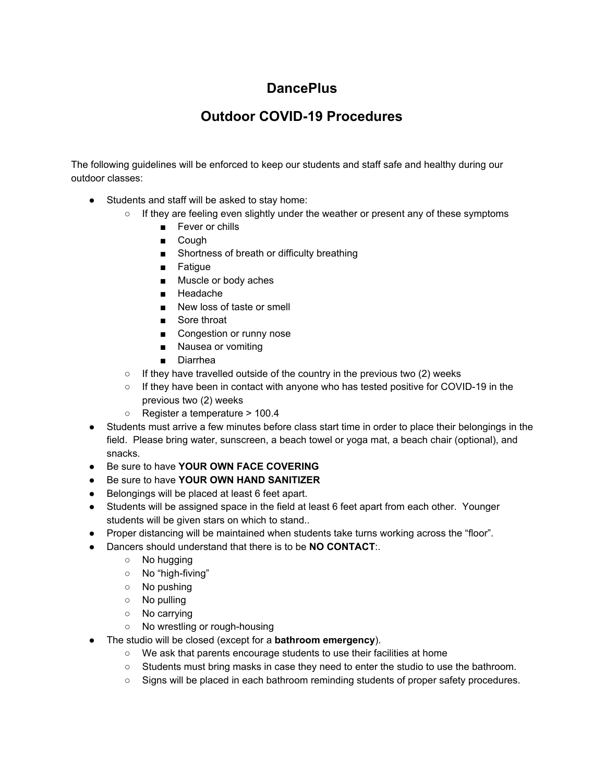## **DancePlus**

## **Outdoor COVID-19 Procedures**

The following guidelines will be enforced to keep our students and staff safe and healthy during our outdoor classes:

- Students and staff will be asked to stay home:
	- If they are feeling even slightly under the weather or present any of these symptoms
		- Fever or chills
		- Cough
		- Shortness of breath or difficulty breathing
		- Fatigue
		- Muscle or body aches
		- Headache
		- New loss of taste or smell
		- Sore throat
		- Congestion or runny nose
		- Nausea or vomiting
		- Diarrhea
	- $\circ$  If they have travelled outside of the country in the previous two (2) weeks
	- If they have been in contact with anyone who has tested positive for COVID-19 in the previous two (2) weeks
	- Register a temperature > 100.4
- Students must arrive a few minutes before class start time in order to place their belongings in the field. Please bring water, sunscreen, a beach towel or yoga mat, a beach chair (optional), and snacks.
- Be sure to have **YOUR OWN FACE COVERING**
- Be sure to have **YOUR OWN HAND SANITIZER**
- Belongings will be placed at least 6 feet apart.
- Students will be assigned space in the field at least 6 feet apart from each other. Younger students will be given stars on which to stand..
- Proper distancing will be maintained when students take turns working across the "floor".
- Dancers should understand that there is to be **NO CONTACT**:.
	- No hugging
	- No "high-fiving"
	- No pushing
	- No pulling
	- No carrying
	- No wrestling or rough-housing
- The studio will be closed (except for a **bathroom emergency**).
	- We ask that parents encourage students to use their facilities at home
	- Students must bring masks in case they need to enter the studio to use the bathroom.
	- Signs will be placed in each bathroom reminding students of proper safety procedures.